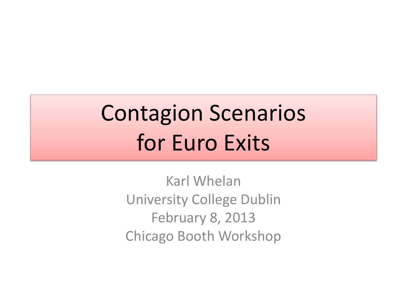#### Contagion Scenarios for Euro Exits

Karl Whelan University College Dublin February 8, 2013 Chicago Booth Workshop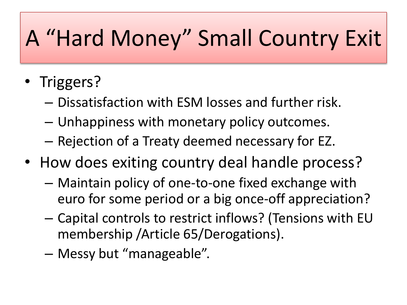# A "Hard Money" Small Country Exit

- Triggers?
	- Dissatisfaction with ESM losses and further risk.
	- Unhappiness with monetary policy outcomes.
	- Rejection of a Treaty deemed necessary for EZ.
- How does exiting country deal handle process?
	- Maintain policy of one-to-one fixed exchange with euro for some period or a big once-off appreciation?
	- Capital controls to restrict inflows? (Tensions with EU membership /Article 65/Derogations).
	- Messy but "manageable".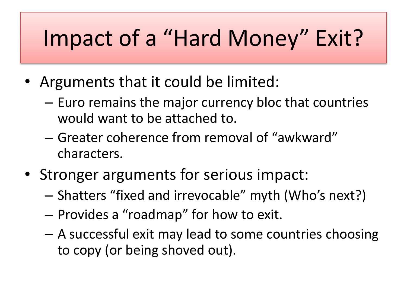### Impact of a "Hard Money" Exit?

- Arguments that it could be limited:
	- Euro remains the major currency bloc that countries would want to be attached to.
	- Greater coherence from removal of "awkward" characters.
- Stronger arguments for serious impact:
	- Shatters "fixed and irrevocable" myth (Who's next?)
	- Provides a "roadmap" for how to exit.
	- A successful exit may lead to some countries choosing to copy (or being shoved out).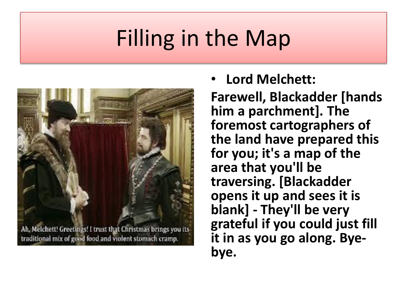# Filling in the Map



• **Lord Melchett:**

**Farewell, Blackadder [hands him a parchment]. The foremost cartographers of the land have prepared this for you; it's a map of the area that you'll be traversing. [Blackadder opens it up and sees it is blank] - They'll be very grateful if you could just fill it in as you go along. Byebye.**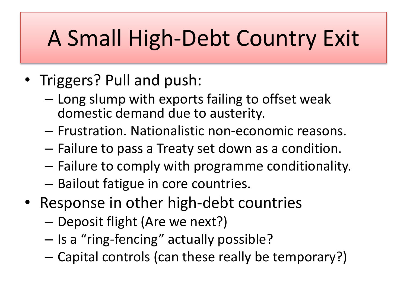# A Small High-Debt Country Exit

- Triggers? Pull and push:
	- Long slump with exports failing to offset weak domestic demand due to austerity.
	- Frustration. Nationalistic non-economic reasons.
	- Failure to pass a Treaty set down as a condition.
	- Failure to comply with programme conditionality.
	- Bailout fatigue in core countries.
- Response in other high-debt countries
	- Deposit flight (Are we next?)
	- Is a "ring-fencing" actually possible?
	- Capital controls (can these really be temporary?)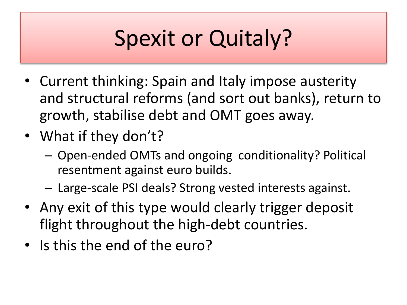# Spexit or Quitaly?

- Current thinking: Spain and Italy impose austerity and structural reforms (and sort out banks), return to growth, stabilise debt and OMT goes away.
- What if they don't?
	- Open-ended OMTs and ongoing conditionality? Political resentment against euro builds.
	- Large-scale PSI deals? Strong vested interests against.
- Any exit of this type would clearly trigger deposit flight throughout the high-debt countries.
- Is this the end of the euro?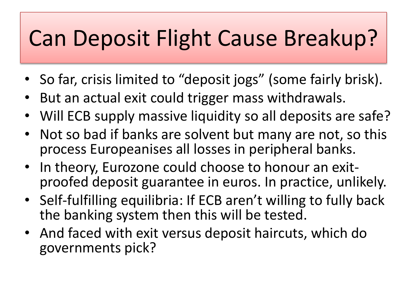## Can Deposit Flight Cause Breakup?

- So far, crisis limited to "deposit jogs" (some fairly brisk).
- But an actual exit could trigger mass withdrawals.
- Will ECB supply massive liquidity so all deposits are safe?
- Not so bad if banks are solvent but many are not, so this process Europeanises all losses in peripheral banks.
- In theory, Eurozone could choose to honour an exitproofed deposit guarantee in euros. In practice, unlikely.
- Self-fulfilling equilibria: If ECB aren't willing to fully back the banking system then this will be tested.
- And faced with exit versus deposit haircuts, which do governments pick?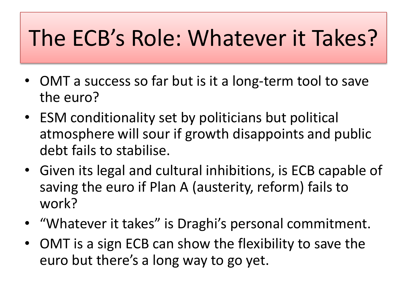#### The ECB's Role: Whatever it Takes?

- OMT a success so far but is it a long-term tool to save the euro?
- ESM conditionality set by politicians but political atmosphere will sour if growth disappoints and public debt fails to stabilise.
- Given its legal and cultural inhibitions, is ECB capable of saving the euro if Plan A (austerity, reform) fails to work?
- "Whatever it takes" is Draghi's personal commitment.
- OMT is a sign ECB can show the flexibility to save the euro but there's a long way to go yet.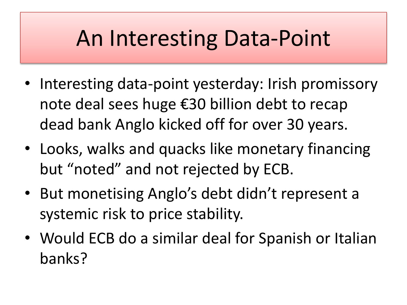#### An Interesting Data-Point

- Interesting data-point yesterday: Irish promissory note deal sees huge €30 billion debt to recap dead bank Anglo kicked off for over 30 years.
- Looks, walks and quacks like monetary financing but "noted" and not rejected by ECB.
- But monetising Anglo's debt didn't represent a systemic risk to price stability.
- Would ECB do a similar deal for Spanish or Italian banks?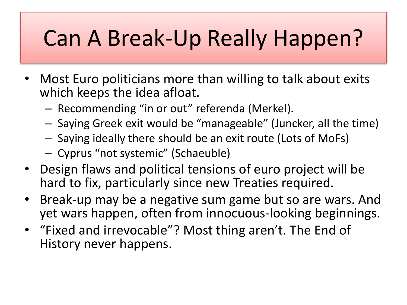## Can A Break-Up Really Happen?

- Most Euro politicians more than willing to talk about exits which keeps the idea afloat.
	- Recommending "in or out" referenda (Merkel).
	- Saying Greek exit would be "manageable" (Juncker, all the time)
	- Saying ideally there should be an exit route (Lots of MoFs)
	- Cyprus "not systemic" (Schaeuble)
- Design flaws and political tensions of euro project will be hard to fix, particularly since new Treaties required.
- Break-up may be a negative sum game but so are wars. And yet wars happen, often from innocuous-looking beginnings.
- "Fixed and irrevocable"? Most thing aren't. The End of History never happens.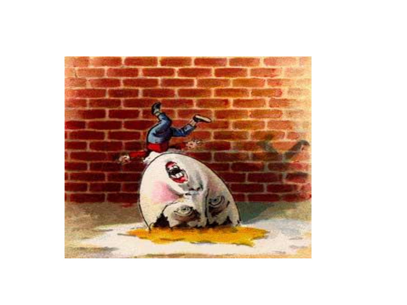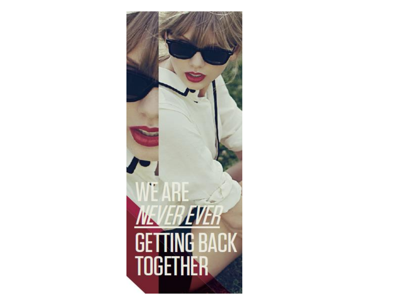